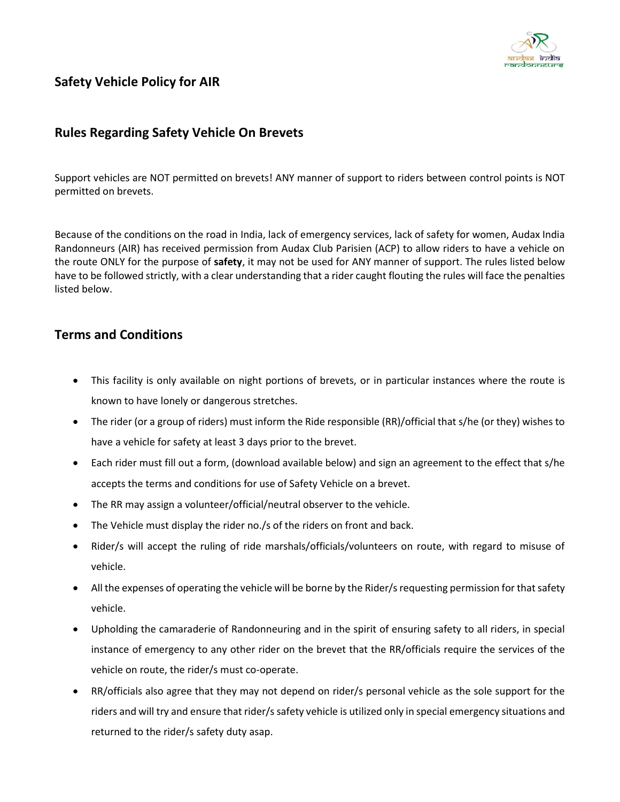

# **Safety Vehicle Policy for AIR**

## **Rules Regarding Safety Vehicle On Brevets**

Support vehicles are NOT permitted on brevets! ANY manner of support to riders between control points is NOT permitted on brevets.

Because of the conditions on the road in India, lack of emergency services, lack of safety for women, Audax India Randonneurs (AIR) has received permission from Audax Club Parisien (ACP) to allow riders to have a vehicle on the route ONLY for the purpose of **safety**, it may not be used for ANY manner of support. The rules listed below have to be followed strictly, with a clear understanding that a rider caught flouting the rules will face the penalties listed below.

## **Terms and Conditions**

- This facility is only available on night portions of brevets, or in particular instances where the route is known to have lonely or dangerous stretches.
- The rider (or a group of riders) must inform the Ride responsible (RR)/official that s/he (or they) wishes to have a vehicle for safety at least 3 days prior to the brevet.
- Each rider must fill out a form, (download available below) and sign an agreement to the effect that s/he accepts the terms and conditions for use of Safety Vehicle on a brevet.
- The RR may assign a volunteer/official/neutral observer to the vehicle.
- The Vehicle must display the rider no./s of the riders on front and back.
- Rider/s will accept the ruling of ride marshals/officials/volunteers on route, with regard to misuse of vehicle.
- All the expenses of operating the vehicle will be borne by the Rider/s requesting permission for that safety vehicle.
- Upholding the camaraderie of Randonneuring and in the spirit of ensuring safety to all riders, in special instance of emergency to any other rider on the brevet that the RR/officials require the services of the vehicle on route, the rider/s must co-operate.
- RR/officials also agree that they may not depend on rider/s personal vehicle as the sole support for the riders and will try and ensure that rider/s safety vehicle is utilized only in special emergency situations and returned to the rider/s safety duty asap.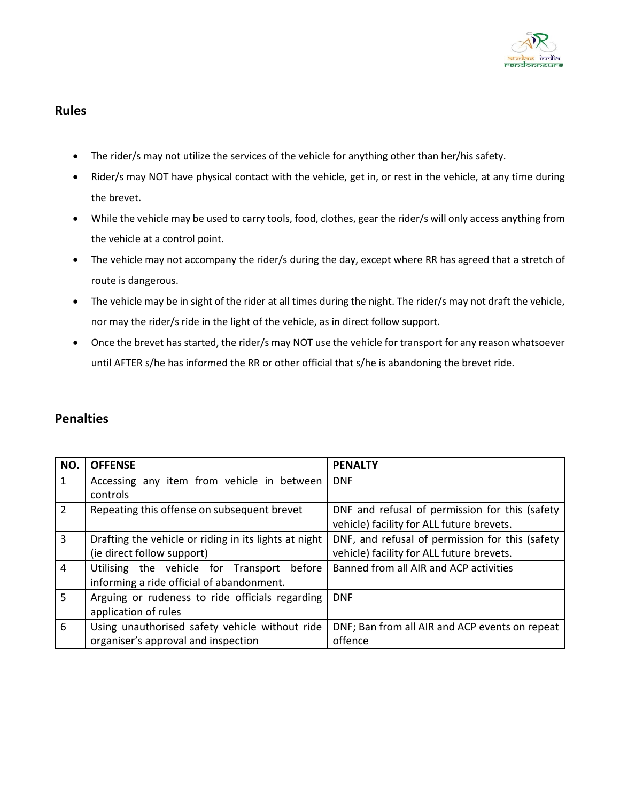

## **Rules**

- The rider/s may not utilize the services of the vehicle for anything other than her/his safety.
- Rider/s may NOT have physical contact with the vehicle, get in, or rest in the vehicle, at any time during the brevet.
- While the vehicle may be used to carry tools, food, clothes, gear the rider/s will only access anything from the vehicle at a control point.
- The vehicle may not accompany the rider/s during the day, except where RR has agreed that a stretch of route is dangerous.
- The vehicle may be in sight of the rider at all times during the night. The rider/s may not draft the vehicle, nor may the rider/s ride in the light of the vehicle, as in direct follow support.
- Once the brevet has started, the rider/s may NOT use the vehicle for transport for any reason whatsoever until AFTER s/he has informed the RR or other official that s/he is abandoning the brevet ride.

## **Penalties**

| NO.            | <b>OFFENSE</b>                                        | <b>PENALTY</b>                                  |  |
|----------------|-------------------------------------------------------|-------------------------------------------------|--|
| 1              | Accessing any item from vehicle in between            | <b>DNF</b>                                      |  |
|                | controls                                              |                                                 |  |
| $\overline{2}$ | Repeating this offense on subsequent brevet           | DNF and refusal of permission for this (safety  |  |
|                |                                                       | vehicle) facility for ALL future brevets.       |  |
| $\overline{3}$ | Drafting the vehicle or riding in its lights at night | DNF, and refusal of permission for this (safety |  |
|                | (ie direct follow support)                            | vehicle) facility for ALL future brevets.       |  |
| $\overline{4}$ | Utilising the vehicle for Transport<br>before         | Banned from all AIR and ACP activities          |  |
|                | informing a ride official of abandonment.             |                                                 |  |
| 5              | Arguing or rudeness to ride officials regarding       | <b>DNF</b>                                      |  |
|                | application of rules                                  |                                                 |  |
| 6              | Using unauthorised safety vehicle without ride        | DNF; Ban from all AIR and ACP events on repeat  |  |
|                | organiser's approval and inspection                   | offence                                         |  |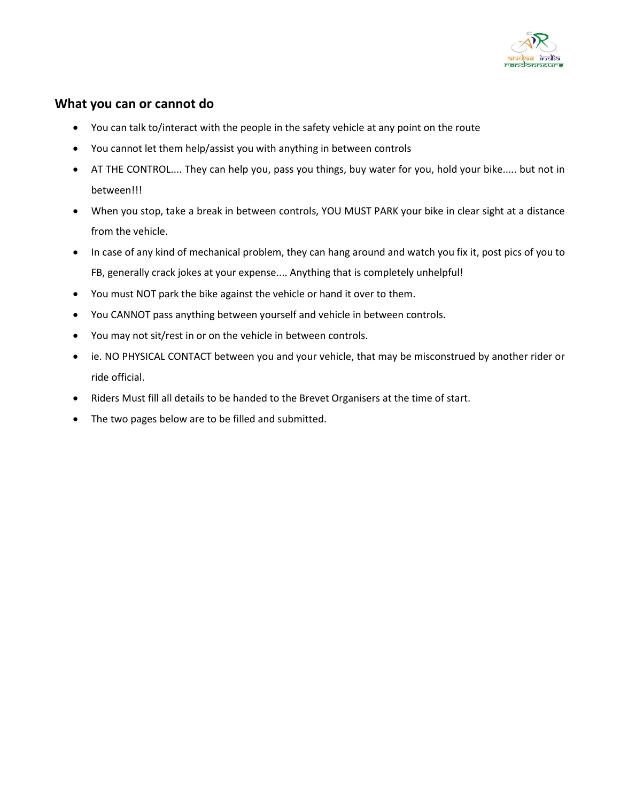

## **What you can or cannot do**

- You can talk to/interact with the people in the safety vehicle at any point on the route
- You cannot let them help/assist you with anything in between controls
- AT THE CONTROL.... They can help you, pass you things, buy water for you, hold your bike..... but not in between!!!
- When you stop, take a break in between controls, YOU MUST PARK your bike in clear sight at a distance from the vehicle.
- In case of any kind of mechanical problem, they can hang around and watch you fix it, post pics of you to FB, generally crack jokes at your expense.... Anything that is completely unhelpful!
- You must NOT park the bike against the vehicle or hand it over to them.
- You CANNOT pass anything between yourself and vehicle in between controls.
- You may not sit/rest in or on the vehicle in between controls.
- ie. NO PHYSICAL CONTACT between you and your vehicle, that may be misconstrued by another rider or ride official.
- Riders Must fill all details to be handed to the Brevet Organisers at the time of start.
- The two pages below are to be filled and submitted.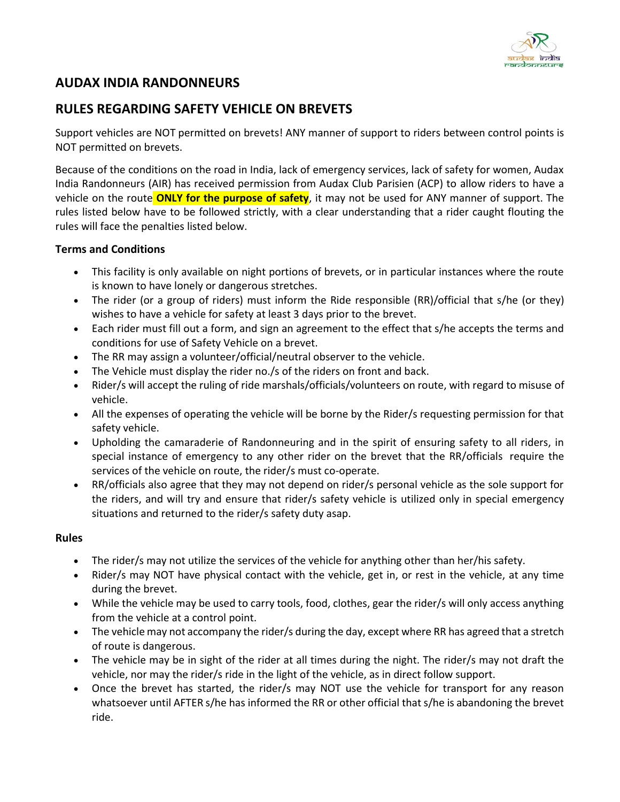

# **AUDAX INDIA RANDONNEURS**

# **RULES REGARDING SAFETY VEHICLE ON BREVETS**

Support vehicles are NOT permitted on brevets! ANY manner of support to riders between control points is NOT permitted on brevets.

Because of the conditions on the road in India, lack of emergency services, lack of safety for women, Audax India Randonneurs (AIR) has received permission from Audax Club Parisien (ACP) to allow riders to have a vehicle on the route **ONLY for the purpose of safety**, it may not be used for ANY manner of support. The rules listed below have to be followed strictly, with a clear understanding that a rider caught flouting the rules will face the penalties listed below.

#### **Terms and Conditions**

- This facility is only available on night portions of brevets, or in particular instances where the route is known to have lonely or dangerous stretches.
- The rider (or a group of riders) must inform the Ride responsible (RR)/official that s/he (or they) wishes to have a vehicle for safety at least 3 days prior to the brevet.
- Each rider must fill out a form, and sign an agreement to the effect that s/he accepts the terms and conditions for use of Safety Vehicle on a brevet.
- The RR may assign a volunteer/official/neutral observer to the vehicle.
- The Vehicle must display the rider no./s of the riders on front and back.
- Rider/s will accept the ruling of ride marshals/officials/volunteers on route, with regard to misuse of vehicle.
- All the expenses of operating the vehicle will be borne by the Rider/s requesting permission for that safety vehicle.
- Upholding the camaraderie of Randonneuring and in the spirit of ensuring safety to all riders, in special instance of emergency to any other rider on the brevet that the RR/officials require the services of the vehicle on route, the rider/s must co-operate.
- RR/officials also agree that they may not depend on rider/s personal vehicle as the sole support for the riders, and will try and ensure that rider/s safety vehicle is utilized only in special emergency situations and returned to the rider/s safety duty asap.

#### **Rules**

- The rider/s may not utilize the services of the vehicle for anything other than her/his safety.
- Rider/s may NOT have physical contact with the vehicle, get in, or rest in the vehicle, at any time during the brevet.
- While the vehicle may be used to carry tools, food, clothes, gear the rider/s will only access anything from the vehicle at a control point.
- The vehicle may not accompany the rider/s during the day, except where RR has agreed that a stretch of route is dangerous.
- The vehicle may be in sight of the rider at all times during the night. The rider/s may not draft the vehicle, nor may the rider/s ride in the light of the vehicle, as in direct follow support.
- Once the brevet has started, the rider/s may NOT use the vehicle for transport for any reason whatsoever until AFTER s/he has informed the RR or other official that s/he is abandoning the brevet ride.